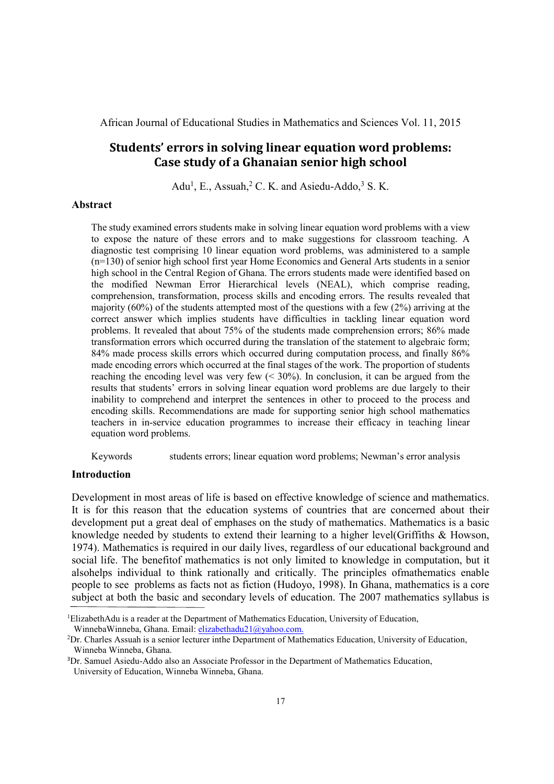# **Students' errors in solving linear equation word problems: Case study of a Ghanaian senior high school**

Adu<sup>1</sup>, E., Assuah, <sup>2</sup> C. K. and Asiedu-Addo, <sup>3</sup> S. K.

### **Abstract**

The study examined errors students make in solving linear equation word problems with a view to expose the nature of these errors and to make suggestions for classroom teaching. A diagnostic test comprising 10 linear equation word problems, was administered to a sample (n=130) of senior high school first year Home Economics and General Arts students in a senior high school in the Central Region of Ghana. The errors students made were identified based on the modified Newman Error Hierarchical levels (NEAL), which comprise reading, comprehension, transformation, process skills and encoding errors. The results revealed that majority (60%) of the students attempted most of the questions with a few (2%) arriving at the correct answer which implies students have difficulties in tackling linear equation word problems. It revealed that about 75% of the students made comprehension errors; 86% made transformation errors which occurred during the translation of the statement to algebraic form; 84% made process skills errors which occurred during computation process, and finally 86% made encoding errors which occurred at the final stages of the work. The proportion of students reaching the encoding level was very few  $( $30\%$ ). In conclusion, it can be argued from the$ results that students' errors in solving linear equation word problems are due largely to their inability to comprehend and interpret the sentences in other to proceed to the process and encoding skills. Recommendations are made for supporting senior high school mathematics teachers in in-service education programmes to increase their efficacy in teaching linear equation word problems.

Keywords students errors; linear equation word problems; Newman's error analysis

# **Introduction**

Development in most areas of life is based on effective knowledge of science and mathematics. It is for this reason that the education systems of countries that are concerned about their development put a great deal of emphases on the study of mathematics. Mathematics is a basic knowledge needed by students to extend their learning to a higher level(Griffiths & Howson, 1974). Mathematics is required in our daily lives, regardless of our educational background and social life. The benefitof mathematics is not only limited to knowledge in computation, but it alsohelps individual to think rationally and critically. The principles ofmathematics enable people to see problems as facts not as fiction (Hudoyo, 1998). In Ghana, mathematics is a core subject at both the basic and secondary levels of education. The 2007 mathematics syllabus is

 ${}^{1}$ ElizabethAdu is a reader at the Department of Mathematics Education, University of Education, WinnebaWinneba, Ghana. Email: elizabethadu21@yahoo.com.

 ${}^{2}Dr$ . Charles Assuah is a senior lecturer inthe Department of Mathematics Education, University of Education, Winneba Winneba, Ghana.

<sup>3</sup>Dr. Samuel Asiedu-Addo also an Associate Professor in the Department of Mathematics Education, University of Education, Winneba Winneba, Ghana.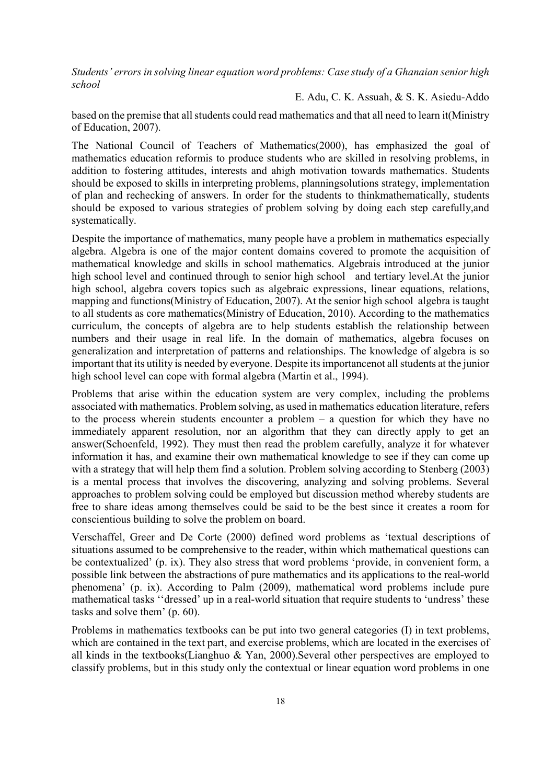E. Adu, C. K. Assuah, & S. K. Asiedu-Addo

based on the premise that all students could read mathematics and that all need to learn it(Ministry of Education, 2007).

The National Council of Teachers of Mathematics(2000), has emphasized the goal of mathematics education reformis to produce students who are skilled in resolving problems, in addition to fostering attitudes, interests and ahigh motivation towards mathematics. Students should be exposed to skills in interpreting problems, planningsolutions strategy, implementation of plan and rechecking of answers. In order for the students to thinkmathematically, students should be exposed to various strategies of problem solving by doing each step carefully,and systematically.

Despite the importance of mathematics, many people have a problem in mathematics especially algebra. Algebra is one of the major content domains covered to promote the acquisition of mathematical knowledge and skills in school mathematics. Algebrais introduced at the junior high school level and continued through to senior high school and tertiary level.At the junior high school, algebra covers topics such as algebraic expressions, linear equations, relations, mapping and functions(Ministry of Education, 2007). At the senior high school algebra is taught to all students as core mathematics(Ministry of Education, 2010). According to the mathematics curriculum, the concepts of algebra are to help students establish the relationship between numbers and their usage in real life. In the domain of mathematics, algebra focuses on generalization and interpretation of patterns and relationships. The knowledge of algebra is so important that its utility is needed by everyone. Despite its importancenot all students at the junior high school level can cope with formal algebra (Martin et al., 1994).

Problems that arise within the education system are very complex, including the problems associated with mathematics. Problem solving, as used in mathematics education literature, refers to the process wherein students encounter a problem – a question for which they have no immediately apparent resolution, nor an algorithm that they can directly apply to get an answer(Schoenfeld, 1992). They must then read the problem carefully, analyze it for whatever information it has, and examine their own mathematical knowledge to see if they can come up with a strategy that will help them find a solution. Problem solving according to Stenberg (2003) is a mental process that involves the discovering, analyzing and solving problems. Several approaches to problem solving could be employed but discussion method whereby students are free to share ideas among themselves could be said to be the best since it creates a room for conscientious building to solve the problem on board.

Verschaffel, Greer and De Corte (2000) defined word problems as 'textual descriptions of situations assumed to be comprehensive to the reader, within which mathematical questions can be contextualized' (p. ix). They also stress that word problems 'provide, in convenient form, a possible link between the abstractions of pure mathematics and its applications to the real-world phenomena' (p. ix). According to Palm (2009), mathematical word problems include pure mathematical tasks ''dressed' up in a real-world situation that require students to 'undress' these tasks and solve them' (p. 60).

Problems in mathematics textbooks can be put into two general categories (I) in text problems, which are contained in the text part, and exercise problems, which are located in the exercises of all kinds in the textbooks(Lianghuo & Yan, 2000).Several other perspectives are employed to classify problems, but in this study only the contextual or linear equation word problems in one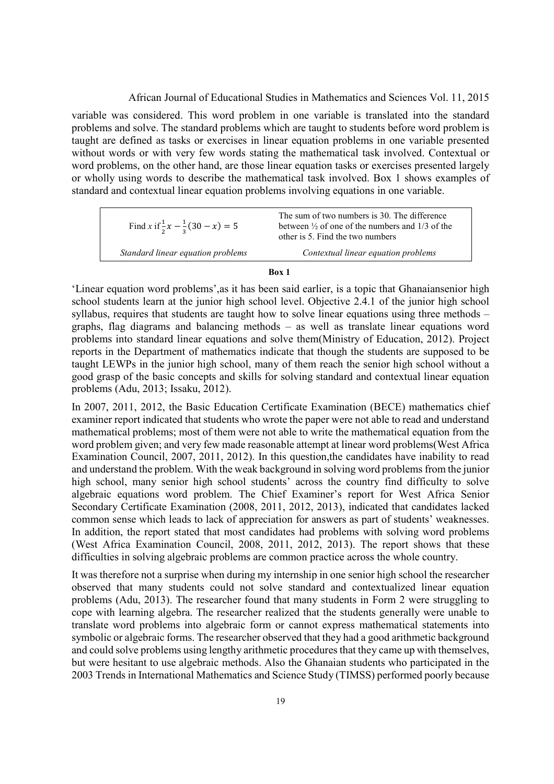variable was considered. This word problem in one variable is translated into the standard problems and solve. The standard problems which are taught to students before word problem is taught are defined as tasks or exercises in linear equation problems in one variable presented without words or with very few words stating the mathematical task involved. Contextual or word problems, on the other hand, are those linear equation tasks or exercises presented largely or wholly using words to describe the mathematical task involved. Box 1 shows examples of standard and contextual linear equation problems involving equations in one variable.

| Find x if $\frac{1}{2}x - \frac{1}{2}(30 - x) = 5$ | The sum of two numbers is 30. The difference<br>between $\frac{1}{2}$ of one of the numbers and 1/3 of the<br>other is 5. Find the two numbers |
|----------------------------------------------------|------------------------------------------------------------------------------------------------------------------------------------------------|
| Standard linear equation problems                  | Contextual linear equation problems                                                                                                            |

#### **Box 1**

'Linear equation word problems',as it has been said earlier, is a topic that Ghanaiansenior high school students learn at the junior high school level. Objective 2.4.1 of the junior high school syllabus, requires that students are taught how to solve linear equations using three methods – graphs, flag diagrams and balancing methods – as well as translate linear equations word problems into standard linear equations and solve them(Ministry of Education, 2012). Project reports in the Department of mathematics indicate that though the students are supposed to be taught LEWPs in the junior high school, many of them reach the senior high school without a good grasp of the basic concepts and skills for solving standard and contextual linear equation problems (Adu, 2013; Issaku, 2012).

In 2007, 2011, 2012, the Basic Education Certificate Examination (BECE) mathematics chief examiner report indicated that students who wrote the paper were not able to read and understand mathematical problems; most of them were not able to write the mathematical equation from the word problem given; and very few made reasonable attempt at linear word problems(West Africa Examination Council, 2007, 2011, 2012). In this question,the candidates have inability to read and understand the problem. With the weak background in solving word problems from the junior high school, many senior high school students' across the country find difficulty to solve algebraic equations word problem. The Chief Examiner's report for West Africa Senior Secondary Certificate Examination (2008, 2011, 2012, 2013), indicated that candidates lacked common sense which leads to lack of appreciation for answers as part of students' weaknesses. In addition, the report stated that most candidates had problems with solving word problems (West Africa Examination Council, 2008, 2011, 2012, 2013). The report shows that these difficulties in solving algebraic problems are common practice across the whole country.

It was therefore not a surprise when during my internship in one senior high school the researcher observed that many students could not solve standard and contextualized linear equation problems (Adu, 2013). The researcher found that many students in Form 2 were struggling to cope with learning algebra. The researcher realized that the students generally were unable to translate word problems into algebraic form or cannot express mathematical statements into symbolic or algebraic forms. The researcher observed that they had a good arithmetic background and could solve problems using lengthy arithmetic procedures that they came up with themselves, but were hesitant to use algebraic methods. Also the Ghanaian students who participated in the 2003 Trends in International Mathematics and Science Study (TIMSS) performed poorly because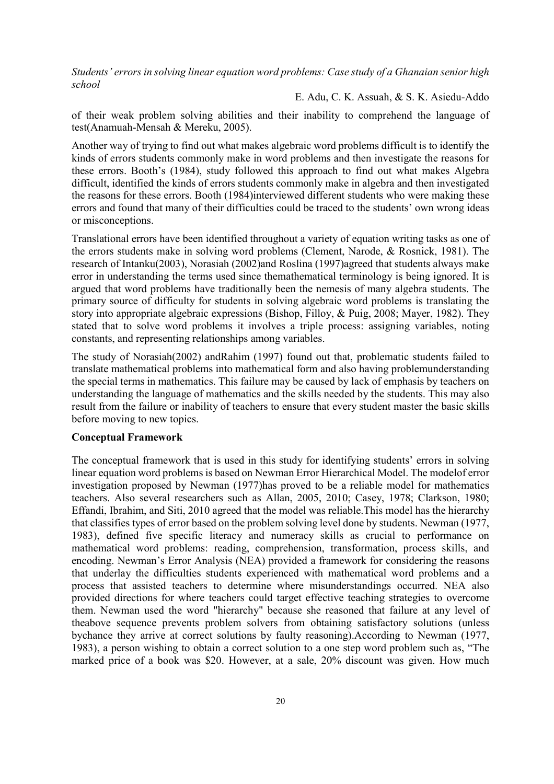E. Adu, C. K. Assuah, & S. K. Asiedu-Addo

of their weak problem solving abilities and their inability to comprehend the language of test(Anamuah-Mensah & Mereku, 2005).

Another way of trying to find out what makes algebraic word problems difficult is to identify the kinds of errors students commonly make in word problems and then investigate the reasons for these errors. Booth's (1984), study followed this approach to find out what makes Algebra difficult, identified the kinds of errors students commonly make in algebra and then investigated the reasons for these errors. Booth (1984)interviewed different students who were making these errors and found that many of their difficulties could be traced to the students' own wrong ideas or misconceptions.

Translational errors have been identified throughout a variety of equation writing tasks as one of the errors students make in solving word problems (Clement, Narode, & Rosnick, 1981). The research of Intanku(2003), Norasiah (2002)and Roslina (1997)agreed that students always make error in understanding the terms used since themathematical terminology is being ignored. It is argued that word problems have traditionally been the nemesis of many algebra students. The primary source of difficulty for students in solving algebraic word problems is translating the story into appropriate algebraic expressions (Bishop, Filloy, & Puig, 2008; Mayer, 1982). They stated that to solve word problems it involves a triple process: assigning variables, noting constants, and representing relationships among variables.

The study of Norasiah(2002) andRahim (1997) found out that, problematic students failed to translate mathematical problems into mathematical form and also having problemunderstanding the special terms in mathematics. This failure may be caused by lack of emphasis by teachers on understanding the language of mathematics and the skills needed by the students. This may also result from the failure or inability of teachers to ensure that every student master the basic skills before moving to new topics.

# **Conceptual Framework**

The conceptual framework that is used in this study for identifying students' errors in solving linear equation word problems is based on Newman Error Hierarchical Model. The modelof error investigation proposed by Newman (1977)has proved to be a reliable model for mathematics teachers. Also several researchers such as Allan, 2005, 2010; Casey, 1978; Clarkson, 1980; Effandi, Ibrahim, and Siti, 2010 agreed that the model was reliable.This model has the hierarchy that classifies types of error based on the problem solving level done by students. Newman (1977, 1983), defined five specific literacy and numeracy skills as crucial to performance on mathematical word problems: reading, comprehension, transformation, process skills, and encoding. Newman's Error Analysis (NEA) provided a framework for considering the reasons that underlay the difficulties students experienced with mathematical word problems and a process that assisted teachers to determine where misunderstandings occurred. NEA also provided directions for where teachers could target effective teaching strategies to overcome them. Newman used the word "hierarchy" because she reasoned that failure at any level of theabove sequence prevents problem solvers from obtaining satisfactory solutions (unless bychance they arrive at correct solutions by faulty reasoning).According to Newman (1977, 1983), a person wishing to obtain a correct solution to a one step word problem such as, "The marked price of a book was \$20. However, at a sale, 20% discount was given. How much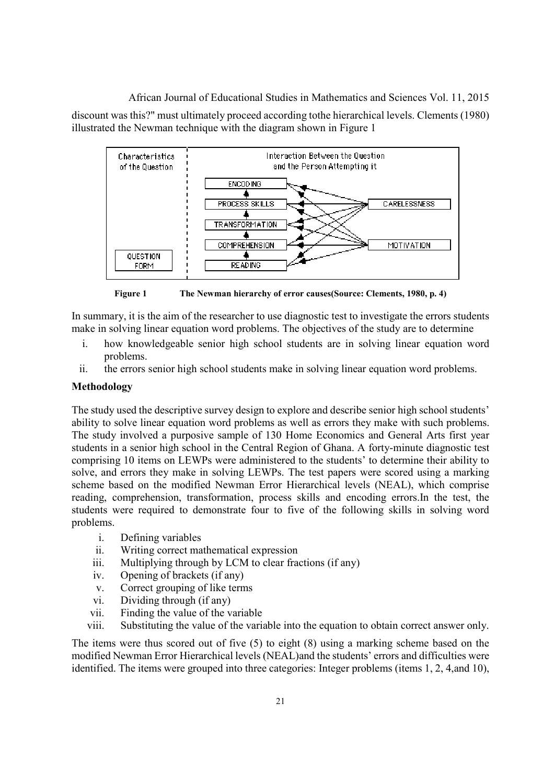African Journal of Educational Studies in Mathematics and Sciences Vol. 11, 2015 discount was this?" must ultimately proceed according tothe hierarchical levels. Clements (1980) illustrated the Newman technique with the diagram shown in Figure 1



**Figure 1 The Newman hierarchy of error causes(Source: Clements, 1980, p. 4)** 

In summary, it is the aim of the researcher to use diagnostic test to investigate the errors students make in solving linear equation word problems. The objectives of the study are to determine

- i. how knowledgeable senior high school students are in solving linear equation word problems.
- ii. the errors senior high school students make in solving linear equation word problems.

# **Methodology**

The study used the descriptive survey design to explore and describe senior high school students' ability to solve linear equation word problems as well as errors they make with such problems. The study involved a purposive sample of 130 Home Economics and General Arts first year students in a senior high school in the Central Region of Ghana. A forty-minute diagnostic test comprising 10 items on LEWPs were administered to the students' to determine their ability to solve, and errors they make in solving LEWPs. The test papers were scored using a marking scheme based on the modified Newman Error Hierarchical levels (NEAL), which comprise reading, comprehension, transformation, process skills and encoding errors.In the test, the students were required to demonstrate four to five of the following skills in solving word problems.

- i. Defining variables
- ii. Writing correct mathematical expression
- iii. Multiplying through by LCM to clear fractions (if any)
- iv. Opening of brackets (if any)
- v. Correct grouping of like terms
- vi. Dividing through (if any)
- vii. Finding the value of the variable
- viii. Substituting the value of the variable into the equation to obtain correct answer only.

The items were thus scored out of five (5) to eight (8) using a marking scheme based on the modified Newman Error Hierarchical levels (NEAL)and the students' errors and difficulties were identified. The items were grouped into three categories: Integer problems (items 1, 2, 4,and 10),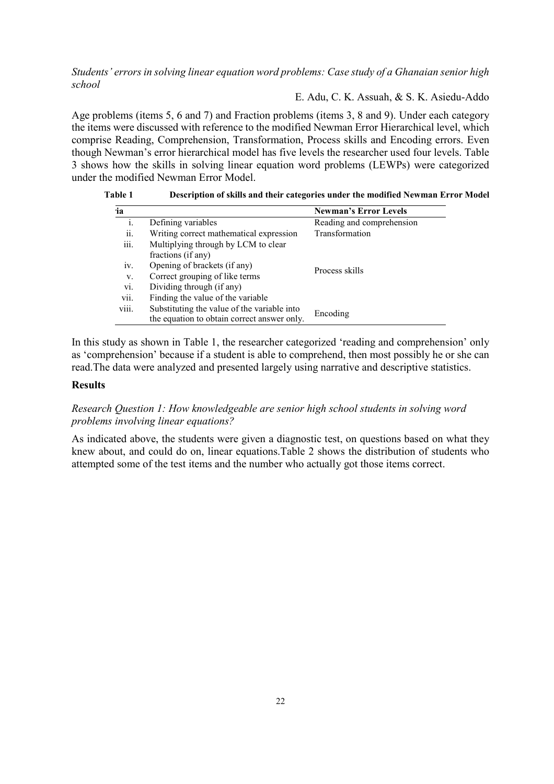# E. Adu, C. K. Assuah, & S. K. Asiedu-Addo

Age problems (items 5, 6 and 7) and Fraction problems (items 3, 8 and 9). Under each category the items were discussed with reference to the modified Newman Error Hierarchical level, which comprise Reading, Comprehension, Transformation, Process skills and Encoding errors. Even though Newman's error hierarchical model has five levels the researcher used four levels. Table 3 shows how the skills in solving linear equation word problems (LEWPs) were categorized under the modified Newman Error Model.

|  | Table 1 | Description of skills and their categories under the modified Newman Error Model |  |
|--|---------|----------------------------------------------------------------------------------|--|
|--|---------|----------------------------------------------------------------------------------|--|

| ia             |                                                                                            | <b>Newman's Error Levels</b> |
|----------------|--------------------------------------------------------------------------------------------|------------------------------|
| $\mathbf{1}$ . | Defining variables                                                                         | Reading and comprehension    |
| ii.            | Writing correct mathematical expression                                                    | Transformation               |
| iii.           | Multiplying through by LCM to clear<br>fractions (if any)                                  |                              |
| iv.            | Opening of brackets (if any)                                                               | Process skills               |
| V.             | Correct grouping of like terms                                                             |                              |
| vi.            | Dividing through (if any)                                                                  |                              |
| vii.           | Finding the value of the variable                                                          |                              |
| viii.          | Substituting the value of the variable into<br>the equation to obtain correct answer only. | Encoding                     |

In this study as shown in Table 1, the researcher categorized 'reading and comprehension' only as 'comprehension' because if a student is able to comprehend, then most possibly he or she can read.The data were analyzed and presented largely using narrative and descriptive statistics.

### **Results**

# *Research Question 1: How knowledgeable are senior high school students in solving word problems involving linear equations?*

As indicated above, the students were given a diagnostic test, on questions based on what they knew about, and could do on, linear equations.Table 2 shows the distribution of students who attempted some of the test items and the number who actually got those items correct.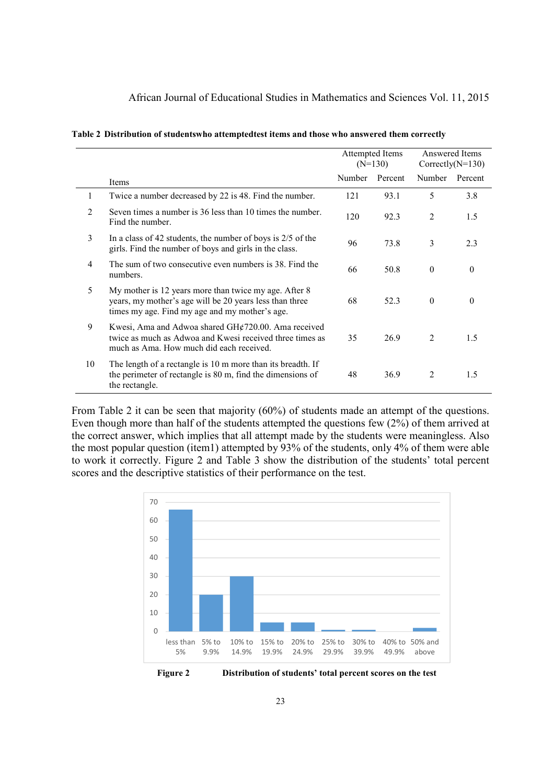| Table 2 Distribution of studentswho attemptedtest items and those who answered them correctly |  |  |  |  |  |  |
|-----------------------------------------------------------------------------------------------|--|--|--|--|--|--|
|-----------------------------------------------------------------------------------------------|--|--|--|--|--|--|

|                |                                                                                                                                                                    |        | Attempted Items<br>$(N=130)$ | Answered Items<br>Correctly( $N=130$ ) |              |
|----------------|--------------------------------------------------------------------------------------------------------------------------------------------------------------------|--------|------------------------------|----------------------------------------|--------------|
|                | Items                                                                                                                                                              | Number | Percent                      | Number                                 | Percent      |
| 1              | Twice a number decreased by 22 is 48. Find the number.                                                                                                             | 121    | 93.1                         | 5                                      | 3.8          |
| $\mathfrak{D}$ | Seven times a number is 36 less than 10 times the number.<br>Find the number.                                                                                      | 120    | 92.3                         | 2                                      | 1.5          |
| 3              | In a class of 42 students, the number of boys is $2/5$ of the<br>girls. Find the number of boys and girls in the class.                                            | 96     | 73.8                         | 3                                      | 2.3          |
| 4              | The sum of two consecutive even numbers is 38. Find the<br>numbers.                                                                                                | 66     | 50.8                         | $\mathbf{0}$                           | $\mathbf{0}$ |
| 5              | My mother is 12 years more than twice my age. After 8<br>years, my mother's age will be 20 years less than three<br>times my age. Find my age and my mother's age. | 68     | 52.3                         | $\theta$                               | $\theta$     |
| 9              | Kwesi, Ama and Adwoa shared GH¢720.00. Ama received<br>twice as much as Adwoa and Kwesi received three times as<br>much as Ama. How much did each received.        | 35     | 26.9                         | 2                                      | 1.5          |
| 10             | The length of a rectangle is 10 m more than its breadth. If<br>the perimeter of rectangle is 80 m, find the dimensions of<br>the rectangle.                        | 48     | 36.9                         | 2                                      | 1.5          |

From Table 2 it can be seen that majority (60%) of students made an attempt of the questions. Even though more than half of the students attempted the questions few (2%) of them arrived at the correct answer, which implies that all attempt made by the students were meaningless. Also the most popular question (item1) attempted by 93% of the students, only 4% of them were able to work it correctly. Figure 2 and Table 3 show the distribution of the students' total percent scores and the descriptive statistics of their performance on the test.

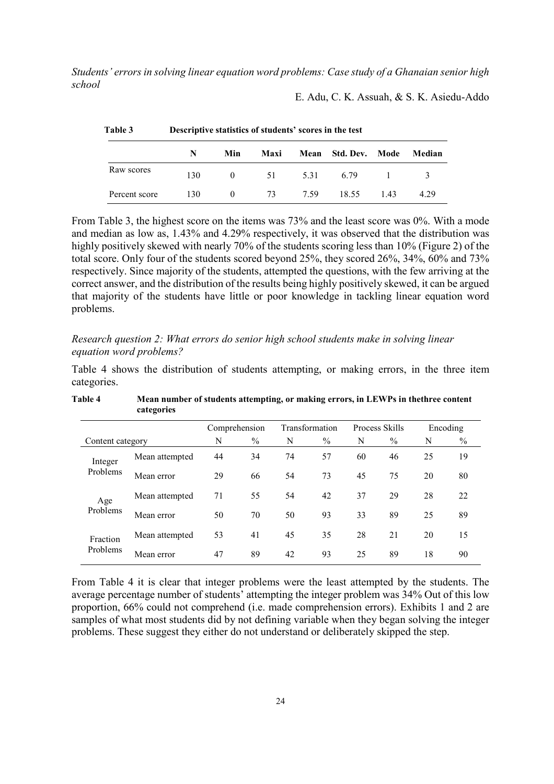E. Adu, C. K. Assuah, & S. K. Asiedu-Addo

| Table 3       | Descriptive statistics of students' scores in the test |                |      |         |                     |      |        |
|---------------|--------------------------------------------------------|----------------|------|---------|---------------------|------|--------|
|               | N                                                      | Min            | Maxi |         | Mean Std. Dev. Mode |      | Median |
| Raw scores    | 130                                                    | $\overline{0}$ | 51   |         | 5.31 6.79 1 3       |      |        |
| Percent score | 130                                                    | $\theta$       |      | 73 7.59 | 18.55               | 1.43 | 4.29   |

From Table 3, the highest score on the items was 73% and the least score was 0%. With a mode and median as low as, 1.43% and 4.29% respectively, it was observed that the distribution was highly positively skewed with nearly 70% of the students scoring less than 10% (Figure 2) of the total score. Only four of the students scored beyond 25%, they scored 26%, 34%, 60% and 73% respectively. Since majority of the students, attempted the questions, with the few arriving at the correct answer, and the distribution of the results being highly positively skewed, it can be argued that majority of the students have little or poor knowledge in tackling linear equation word problems.

*Research question 2: What errors do senior high school students make in solving linear equation word problems?* 

Table 4 shows the distribution of students attempting, or making errors, in the three item categories.

|                      |                | Comprehension |      | Transformation |               | Process Skills |               | Encoding |      |
|----------------------|----------------|---------------|------|----------------|---------------|----------------|---------------|----------|------|
| Content category     |                | N             | $\%$ | N              | $\frac{0}{0}$ | N              | $\frac{0}{0}$ | N        | $\%$ |
| Integer<br>Problems  | Mean attempted | 44            | 34   | 74             | 57            | 60             | 46            | 25       | 19   |
|                      | Mean error     | 29            | 66   | 54             | 73            | 45             | 75            | 20       | 80   |
| Age<br>Problems      | Mean attempted | 71            | 55   | 54             | 42            | 37             | 29            | 28       | 22   |
|                      | Mean error     | 50            | 70   | 50             | 93            | 33             | 89            | 25       | 89   |
| Fraction<br>Problems | Mean attempted | 53            | 41   | 45             | 35            | 28             | 21            | 20       | 15   |
|                      | Mean error     | 47            | 89   | 42             | 93            | 25             | 89            | 18       | 90   |

**Table 4 Mean number of students attempting, or making errors, in LEWPs in thethree content categories** 

From Table 4 it is clear that integer problems were the least attempted by the students. The average percentage number of students' attempting the integer problem was 34% Out of this low proportion, 66% could not comprehend (i.e. made comprehension errors). Exhibits 1 and 2 are samples of what most students did by not defining variable when they began solving the integer problems. These suggest they either do not understand or deliberately skipped the step.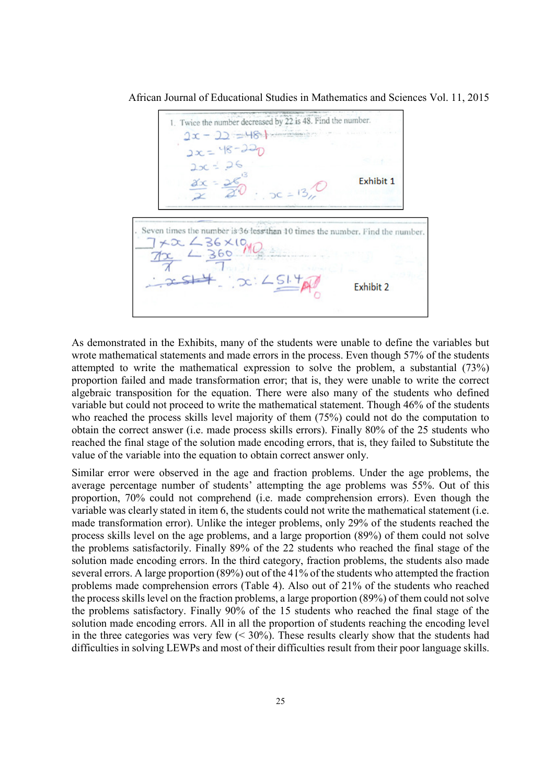African Journal of Educational Studies in Mathematics and Sciences Vol. 11, 2015

1. Twice the number decreased by 22 is 48. Find the number.  $2x - 22 = 48 +$  $2x = 48 - 220$ <br> $2x = 48 - 220$ Exhibit 1 Seven times the number is 36 less than 10 times the number. Find the number.  $+22.48 \times 10^{10}$  $-360$  $x:25140$ Exhibit 2

As demonstrated in the Exhibits, many of the students were unable to define the variables but wrote mathematical statements and made errors in the process. Even though 57% of the students attempted to write the mathematical expression to solve the problem, a substantial (73%) proportion failed and made transformation error; that is, they were unable to write the correct algebraic transposition for the equation. There were also many of the students who defined variable but could not proceed to write the mathematical statement. Though 46% of the students who reached the process skills level majority of them (75%) could not do the computation to obtain the correct answer (i.e. made process skills errors). Finally 80% of the 25 students who reached the final stage of the solution made encoding errors, that is, they failed to Substitute the value of the variable into the equation to obtain correct answer only.

Similar error were observed in the age and fraction problems. Under the age problems, the average percentage number of students' attempting the age problems was 55%. Out of this proportion, 70% could not comprehend (i.e. made comprehension errors). Even though the variable was clearly stated in item 6, the students could not write the mathematical statement (i.e. made transformation error). Unlike the integer problems, only 29% of the students reached the process skills level on the age problems, and a large proportion (89%) of them could not solve the problems satisfactorily. Finally 89% of the 22 students who reached the final stage of the solution made encoding errors. In the third category, fraction problems, the students also made several errors. A large proportion (89%) out of the 41% of the students who attempted the fraction problems made comprehension errors (Table 4). Also out of 21% of the students who reached the process skills level on the fraction problems, a large proportion (89%) of them could not solve the problems satisfactory. Finally 90% of the 15 students who reached the final stage of the solution made encoding errors. All in all the proportion of students reaching the encoding level in the three categories was very few  $( $30\%$ ). These results clearly show that the students had$ difficulties in solving LEWPs and most of their difficulties result from their poor language skills.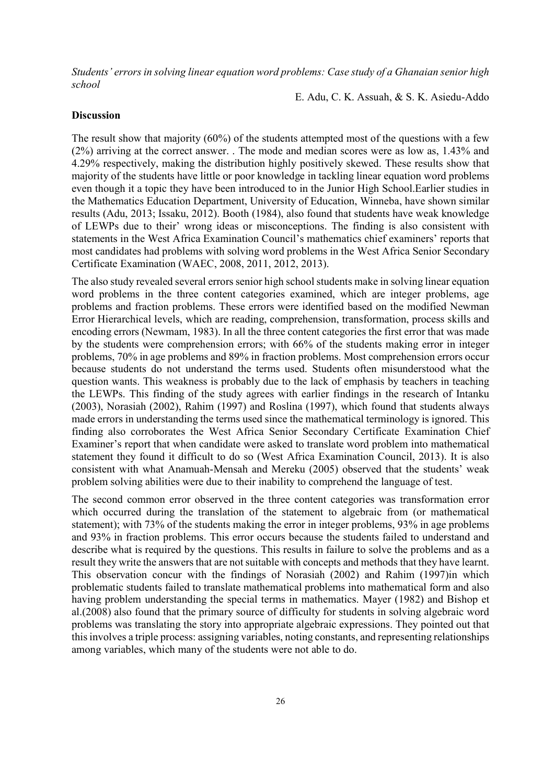E. Adu, C. K. Assuah, & S. K. Asiedu-Addo

### **Discussion**

The result show that majority (60%) of the students attempted most of the questions with a few (2%) arriving at the correct answer. . The mode and median scores were as low as, 1.43% and 4.29% respectively, making the distribution highly positively skewed. These results show that majority of the students have little or poor knowledge in tackling linear equation word problems even though it a topic they have been introduced to in the Junior High School.Earlier studies in the Mathematics Education Department, University of Education, Winneba, have shown similar results (Adu, 2013; Issaku, 2012). Booth (1984), also found that students have weak knowledge of LEWPs due to their' wrong ideas or misconceptions. The finding is also consistent with statements in the West Africa Examination Council's mathematics chief examiners' reports that most candidates had problems with solving word problems in the West Africa Senior Secondary Certificate Examination (WAEC, 2008, 2011, 2012, 2013).

The also study revealed several errors senior high school students make in solving linear equation word problems in the three content categories examined, which are integer problems, age problems and fraction problems. These errors were identified based on the modified Newman Error Hierarchical levels, which are reading, comprehension, transformation, process skills and encoding errors (Newmam, 1983). In all the three content categories the first error that was made by the students were comprehension errors; with 66% of the students making error in integer problems, 70% in age problems and 89% in fraction problems. Most comprehension errors occur because students do not understand the terms used. Students often misunderstood what the question wants. This weakness is probably due to the lack of emphasis by teachers in teaching the LEWPs. This finding of the study agrees with earlier findings in the research of Intanku (2003), Norasiah (2002), Rahim (1997) and Roslina (1997), which found that students always made errors in understanding the terms used since the mathematical terminology is ignored. This finding also corroborates the West Africa Senior Secondary Certificate Examination Chief Examiner's report that when candidate were asked to translate word problem into mathematical statement they found it difficult to do so (West Africa Examination Council, 2013). It is also consistent with what Anamuah-Mensah and Mereku (2005) observed that the students' weak problem solving abilities were due to their inability to comprehend the language of test.

The second common error observed in the three content categories was transformation error which occurred during the translation of the statement to algebraic from (or mathematical statement); with 73% of the students making the error in integer problems, 93% in age problems and 93% in fraction problems. This error occurs because the students failed to understand and describe what is required by the questions. This results in failure to solve the problems and as a result they write the answers that are not suitable with concepts and methods that they have learnt. This observation concur with the findings of Norasiah (2002) and Rahim (1997)in which problematic students failed to translate mathematical problems into mathematical form and also having problem understanding the special terms in mathematics. Mayer (1982) and Bishop et al.(2008) also found that the primary source of difficulty for students in solving algebraic word problems was translating the story into appropriate algebraic expressions. They pointed out that this involves a triple process: assigning variables, noting constants, and representing relationships among variables, which many of the students were not able to do.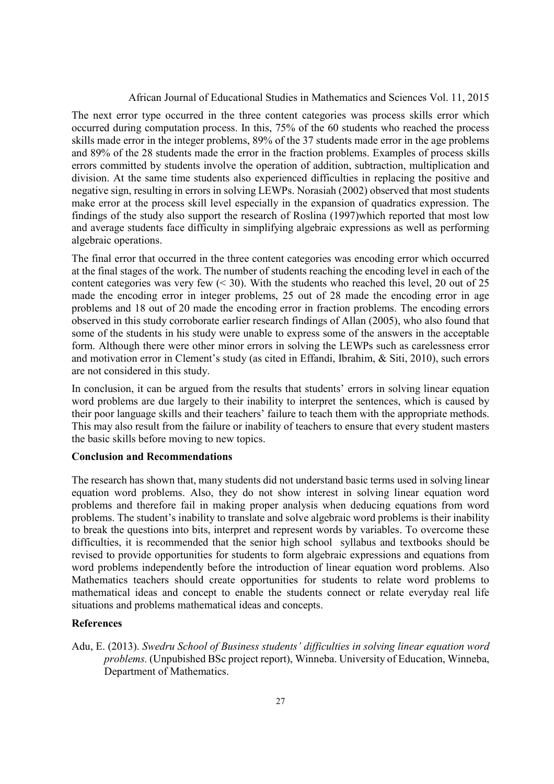The next error type occurred in the three content categories was process skills error which occurred during computation process. In this, 75% of the 60 students who reached the process skills made error in the integer problems, 89% of the 37 students made error in the age problems and 89% of the 28 students made the error in the fraction problems. Examples of process skills errors committed by students involve the operation of addition, subtraction, multiplication and division. At the same time students also experienced difficulties in replacing the positive and negative sign, resulting in errors in solving LEWPs. Norasiah (2002) observed that most students make error at the process skill level especially in the expansion of quadratics expression. The findings of the study also support the research of Roslina (1997)which reported that most low and average students face difficulty in simplifying algebraic expressions as well as performing algebraic operations.

The final error that occurred in the three content categories was encoding error which occurred at the final stages of the work. The number of students reaching the encoding level in each of the content categories was very few  $(< 30$ ). With the students who reached this level, 20 out of 25 made the encoding error in integer problems, 25 out of 28 made the encoding error in age problems and 18 out of 20 made the encoding error in fraction problems. The encoding errors observed in this study corroborate earlier research findings of Allan (2005), who also found that some of the students in his study were unable to express some of the answers in the acceptable form. Although there were other minor errors in solving the LEWPs such as carelessness error and motivation error in Clement's study (as cited in Effandi, Ibrahim, & Siti, 2010), such errors are not considered in this study.

In conclusion, it can be argued from the results that students' errors in solving linear equation word problems are due largely to their inability to interpret the sentences, which is caused by their poor language skills and their teachers' failure to teach them with the appropriate methods. This may also result from the failure or inability of teachers to ensure that every student masters the basic skills before moving to new topics.

# **Conclusion and Recommendations**

The research has shown that, many students did not understand basic terms used in solving linear equation word problems. Also, they do not show interest in solving linear equation word problems and therefore fail in making proper analysis when deducing equations from word problems. The student's inability to translate and solve algebraic word problems is their inability to break the questions into bits, interpret and represent words by variables. To overcome these difficulties, it is recommended that the senior high school syllabus and textbooks should be revised to provide opportunities for students to form algebraic expressions and equations from word problems independently before the introduction of linear equation word problems. Also Mathematics teachers should create opportunities for students to relate word problems to mathematical ideas and concept to enable the students connect or relate everyday real life situations and problems mathematical ideas and concepts.

#### **References**

Adu, E. (2013). *Swedru School of Business students' difficulties in solving linear equation word problems.* (Unpubished BSc project report), Winneba. University of Education, Winneba, Department of Mathematics.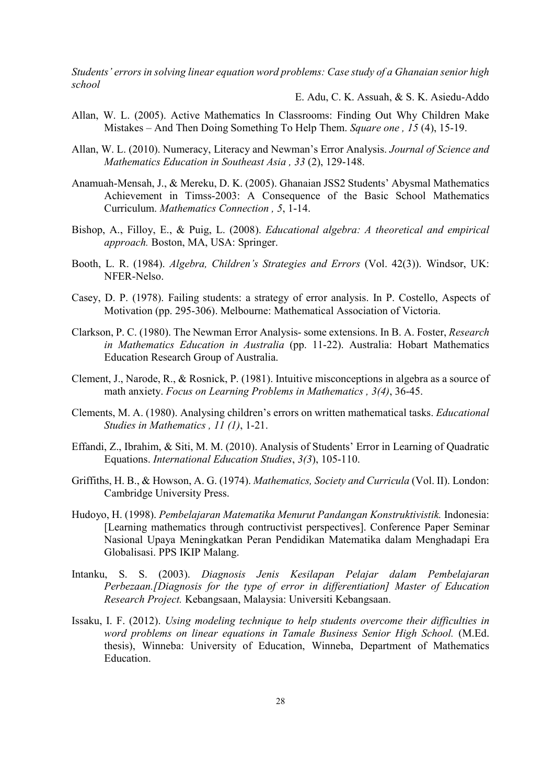E. Adu, C. K. Assuah, & S. K. Asiedu-Addo

- Allan, W. L. (2005). Active Mathematics In Classrooms: Finding Out Why Children Make Mistakes – And Then Doing Something To Help Them. *Square one , 15* (4), 15-19.
- Allan, W. L. (2010). Numeracy, Literacy and Newman's Error Analysis. *Journal of Science and Mathematics Education in Southeast Asia , 33* (2), 129-148.
- Anamuah-Mensah, J., & Mereku, D. K. (2005). Ghanaian JSS2 Students' Abysmal Mathematics Achievement in Timss-2003: A Consequence of the Basic School Mathematics Curriculum. *Mathematics Connection , 5*, 1-14.
- Bishop, A., Filloy, E., & Puig, L. (2008). *Educational algebra: A theoretical and empirical approach.* Boston, MA, USA: Springer.
- Booth, L. R. (1984). *Algebra, Children's Strategies and Errors* (Vol. 42(3)). Windsor, UK: NFER-Nelso.
- Casey, D. P. (1978). Failing students: a strategy of error analysis. In P. Costello, Aspects of Motivation (pp. 295-306). Melbourne: Mathematical Association of Victoria.
- Clarkson, P. C. (1980). The Newman Error Analysis- some extensions. In B. A. Foster, *Research in Mathematics Education in Australia* (pp. 11-22). Australia: Hobart Mathematics Education Research Group of Australia.
- Clement, J., Narode, R., & Rosnick, P. (1981). Intuitive misconceptions in algebra as a source of math anxiety. *Focus on Learning Problems in Mathematics , 3(4)*, 36-45.
- Clements, M. A. (1980). Analysing children's errors on written mathematical tasks. *Educational Studies in Mathematics , 11 (1)*, 1-21.
- Effandi, Z., Ibrahim, & Siti, M. M. (2010). Analysis of Students' Error in Learning of Quadratic Equations. *International Education Studies*, *3(3*), 105-110.
- Griffiths, H. B., & Howson, A. G. (1974). *Mathematics, Society and Curricula* (Vol. II). London: Cambridge University Press.
- Hudoyo, H. (1998). *Pembelajaran Matematika Menurut Pandangan Konstruktivistik.* Indonesia: [Learning mathematics through contructivist perspectives]. Conference Paper Seminar Nasional Upaya Meningkatkan Peran Pendidikan Matematika dalam Menghadapi Era Globalisasi. PPS IKIP Malang.
- Intanku, S. S. (2003). *Diagnosis Jenis Kesilapan Pelajar dalam Pembelajaran Perbezaan.[Diagnosis for the type of error in differentiation] Master of Education Research Project.* Kebangsaan, Malaysia: Universiti Kebangsaan.
- Issaku, I. F. (2012). *Using modeling technique to help students overcome their difficulties in word problems on linear equations in Tamale Business Senior High School.* (M.Ed. thesis), Winneba: University of Education, Winneba, Department of Mathematics Education.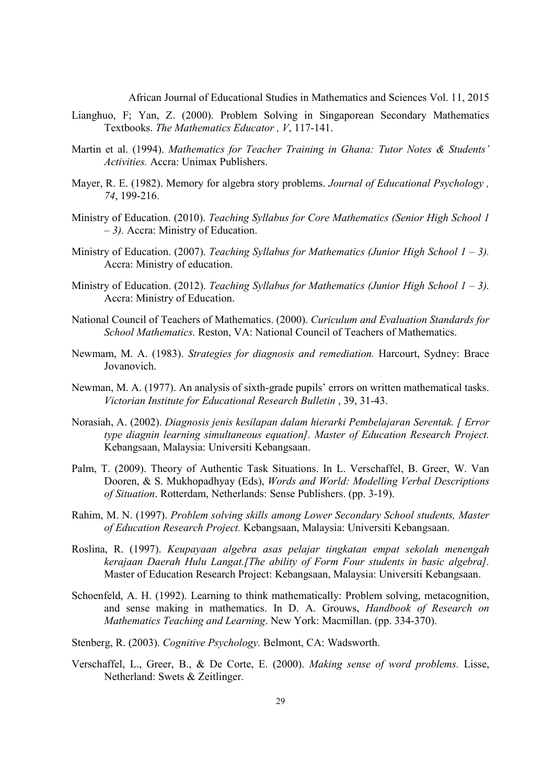- Lianghuo, F; Yan, Z. (2000). Problem Solving in Singaporean Secondary Mathematics Textbooks. *The Mathematics Educator , V*, 117-141.
- Martin et al. (1994). *Mathematics for Teacher Training in Ghana: Tutor Notes & Students' Activities.* Accra: Unimax Publishers.
- Mayer, R. E. (1982). Memory for algebra story problems. *Journal of Educational Psychology , 74*, 199-216.
- Ministry of Education. (2010). *Teaching Syllabus for Core Mathematics (Senior High School 1 – 3).* Accra: Ministry of Education.
- Ministry of Education. (2007). *Teaching Syllabus for Mathematics (Junior High School 1 3).* Accra: Ministry of education.
- Ministry of Education. (2012). *Teaching Syllabus for Mathematics (Junior High School 1 3).* Accra: Ministry of Education.
- National Council of Teachers of Mathematics. (2000). *Curiculum and Evaluation Standards for School Mathematics.* Reston, VA: National Council of Teachers of Mathematics.
- Newmam, M. A. (1983). *Strategies for diagnosis and remediation.* Harcourt, Sydney: Brace Jovanovich.
- Newman, M. A. (1977). An analysis of sixth-grade pupils' errors on written mathematical tasks. *Victorian Institute for Educational Research Bulletin* , 39, 31-43.
- Norasiah, A. (2002). *Diagnosis jenis kesilapan dalam hierarki Pembelajaran Serentak. [ Error type diagnin learning simultaneous equation]. Master of Education Research Project.* Kebangsaan, Malaysia: Universiti Kebangsaan.
- Palm, T. (2009). Theory of Authentic Task Situations. In L. Verschaffel, B. Greer, W. Van Dooren, & S. Mukhopadhyay (Eds), *Words and World: Modelling Verbal Descriptions of Situation*. Rotterdam, Netherlands: Sense Publishers. (pp. 3-19).
- Rahim, M. N. (1997). *Problem solving skills among Lower Secondary School students, Master of Education Research Project.* Kebangsaan, Malaysia: Universiti Kebangsaan.
- Roslina, R. (1997). *Keupayaan algebra asas pelajar tingkatan empat sekolah menengah kerajaan Daerah Hulu Langat.[The ability of Form Four students in basic algebra].* Master of Education Research Project: Kebangsaan, Malaysia: Universiti Kebangsaan.
- Schoenfeld, A. H. (1992). Learning to think mathematically: Problem solving, metacognition, and sense making in mathematics. In D. A. Grouws, *Handbook of Research on Mathematics Teaching and Learning*. New York: Macmillan. (pp. 334-370).
- Stenberg, R. (2003). *Cognitive Psychology.* Belmont, CA: Wadsworth.
- Verschaffel, L., Greer, B., & De Corte, E. (2000). *Making sense of word problems.* Lisse, Netherland: Swets & Zeitlinger.